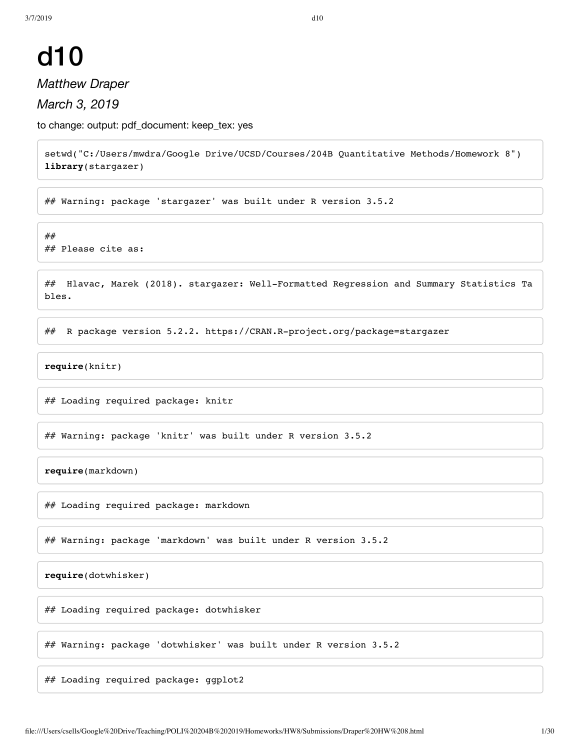# d10

## *Matthew Draper*

*March 3, 2019*

to change: output: pdf\_document: keep\_tex: yes

setwd("C:/Users/mwdra/Google Drive/UCSD/Courses/204B Quantitative Methods/Homework 8") **library**(stargazer)

## Warning: package 'stargazer' was built under R version 3.5.2

## ## Please cite as:

## Hlavac, Marek (2018). stargazer: Well-Formatted Regression and Summary Statistics Ta bles.

## R package version 5.2.2. https://CRAN.R-project.org/package=stargazer

**require**(knitr)

## Loading required package: knitr

## Warning: package 'knitr' was built under R version 3.5.2

**require**(markdown)

## Loading required package: markdown

## Warning: package 'markdown' was built under R version 3.5.2

**require**(dotwhisker)

## Loading required package: dotwhisker

## Warning: package 'dotwhisker' was built under R version 3.5.2

## Loading required package: ggplot2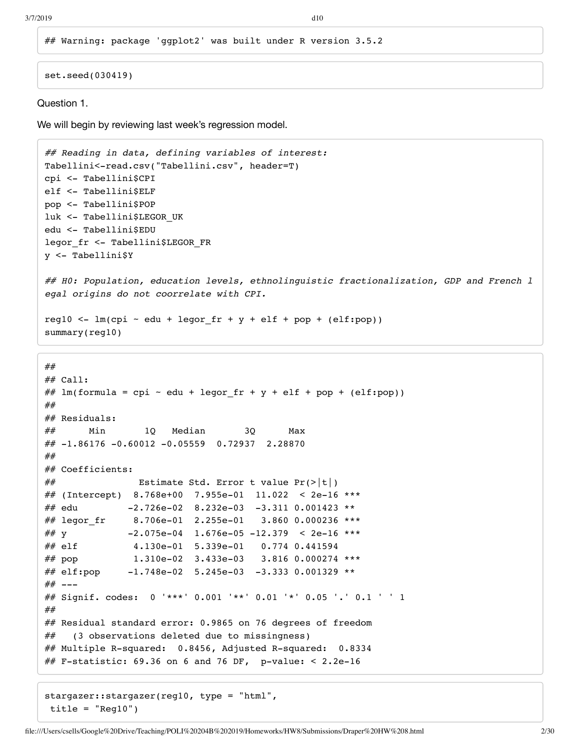## Warning: package 'ggplot2' was built under R version 3.5.2

set.seed(030419)

#### Question 1.

We will begin by reviewing last week's regression model.

```
## Reading in data, defining variables of interest:
Tabellini<-read.csv("Tabellini.csv", header=T)
cpi <- Tabellini$CPI
elf <- Tabellini$ELF
pop <- Tabellini$POP
luk <- Tabellini$LEGOR_UK
edu <- Tabellini$EDU
legor_fr <- Tabellini$LEGOR_FR
y <- Tabellini$Y
## H0: Population, education levels, ethnolinguistic fractionalization, GDP and French l
egal origins do not coorrelate with CPI.
reg10 <- lm(cpi \sim edu + legor.fr + y + elf + pop + (elf:pop))summary(reg10)
## 
## Call:
## lm(formula = cpi ~ all ~ endu + legor fr + y + elf + pop + (elf:pop))## 
## Residuals:
## Min 1Q Median 3Q Max 
## -1.86176 -0.60012 -0.05559 0.72937 2.28870 
## 
## Coefficients:
## Estimate Std. Error t value Pr(>|t|) 
## (Intercept) 8.768e+00 7.955e-01 11.022 < 2e-16 ***
\# edu -2.726e-02 8.232e-03 -3.311 0.001423 **
## legor fr  8.706e-01 2.255e-01 3.860 0.000236 ***
\# y -2.075e-04 1.676e-05 -12.379 < 2e-16 ***
## elf 4.130e-01 5.339e-01 0.774 0.441594 
## pop 1.310e-02 3.433e-03 3.816 0.000274 ***
## elf:pop -1.748e-02 5.245e-03 -3.333 0.001329 ** 
## ---
## Signif. codes: 0 '***' 0.001 '**' 0.01 '*' 0.05 '.' 0.1 ' ' 1
## 
## Residual standard error: 0.9865 on 76 degrees of freedom
## (3 observations deleted due to missingness)
## Multiple R-squared: 0.8456, Adjusted R-squared: 0.8334 
## F-statistic: 69.36 on 6 and 76 DF, p-value: < 2.2e-16
```
stargazer::stargazer(reg10, type = "html", title =  $"Reg10"$ )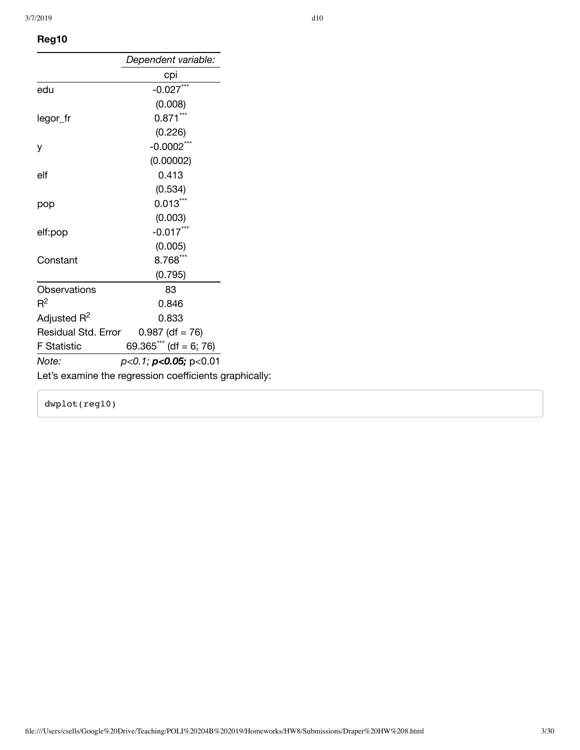### **Reg10**

|                                                        | Dependent variable:           |  |
|--------------------------------------------------------|-------------------------------|--|
|                                                        | cpi                           |  |
| edu                                                    | $-0.027***$                   |  |
|                                                        | (0.008)                       |  |
| legor_fr                                               | $0.871***$                    |  |
|                                                        | (0.226)                       |  |
| у                                                      | $-0.0002***$                  |  |
|                                                        | (0.00002)                     |  |
| elf                                                    | 0.413                         |  |
|                                                        | (0.534)                       |  |
| pop                                                    | $0.013***$                    |  |
|                                                        | (0.003)                       |  |
| elf:pop                                                | $-0.017***$                   |  |
|                                                        | (0.005)                       |  |
| Constant                                               | $8.768***$                    |  |
|                                                        | (0.795)                       |  |
| Observations                                           | 83                            |  |
| $R^2$                                                  | 0.846                         |  |
| Adjusted $R^2$                                         | 0.833                         |  |
| <b>Residual Std. Error</b>                             | $0.987$ (df = 76)             |  |
| <b>F</b> Statistic                                     | 69.365*** (df = 6; 76)        |  |
| Note:                                                  | $p<0.1$ ; $p<0.05$ ; $p<0.01$ |  |
| Let's examine the regression coefficients graphically: |                               |  |

dwplot(reg10)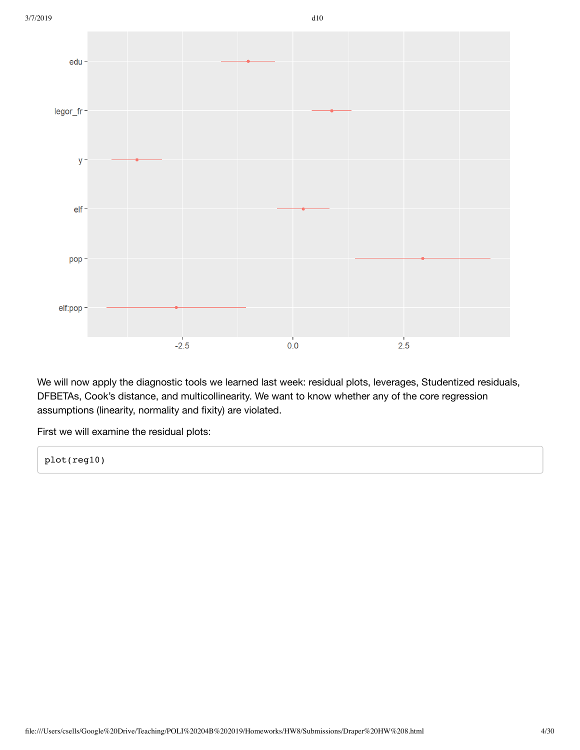

We will now apply the diagnostic tools we learned last week: residual plots, leverages, Studentized residuals, DFBETAs, Cook's distance, and multicollinearity. We want to know whether any of the core regression assumptions (linearity, normality and fixity) are violated.

First we will examine the residual plots:

plot(reg10)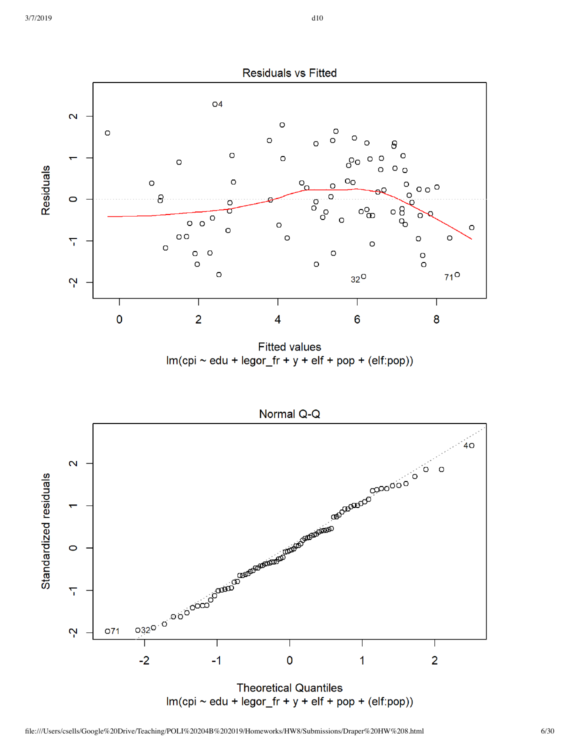

**Fitted values**  $Im(cpi \sim edu + legor.fr + y + elf + pop + (elf:pop))$ 

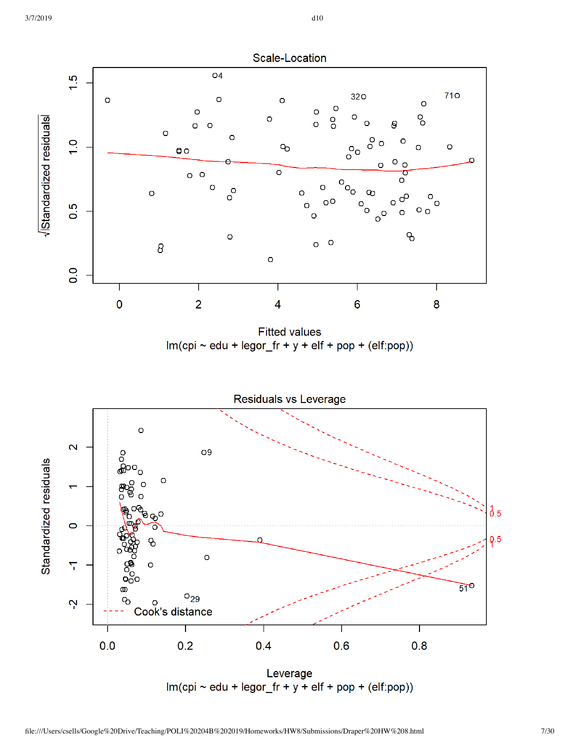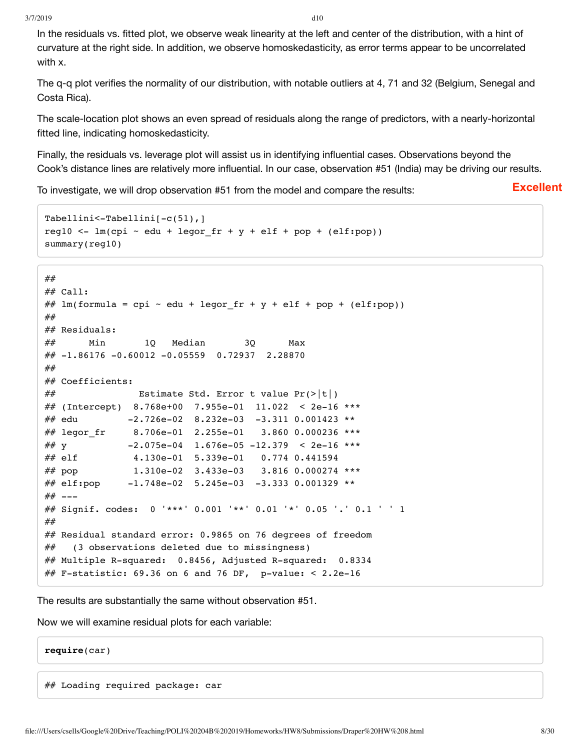3/7/2019 d10

In the residuals vs. fitted plot, we observe weak linearity at the left and center of the distribution, with a hint of curvature at the right side. In addition, we observe homoskedasticity, as error terms appear to be uncorrelated with x.

The q-q plot verifies the normality of our distribution, with notable outliers at 4, 71 and 32 (Belgium, Senegal and Costa Rica).

The scale-location plot shows an even spread of residuals along the range of predictors, with a nearly-horizontal fitted line, indicating homoskedasticity.

Finally, the residuals vs. leverage plot will assist us in identifying influential cases. Observations beyond the Cook's distance lines are relatively more influential. In our case, observation #51 (India) may be driving our results.

To investigate, we will drop observation #51 from the model and compare the results:

**Excellent**

```
Tabellini<-Tabellini[-c(51),]
reg10 <- lm(cpi \sim edu + legor.fr + y + elf + pop + (elf:pop))summary(reg10)
## 
## Call:
## lm(formula = cpi ~edu + legor.fr + y + elf + pop + (elf:pop))## 
## Residuals:
## Min 1Q Median 3Q Max 
\# -1.86176 -0.60012 -0.05559 0.72937 2.28870
## 
## Coefficients:
## Estimate Std. Error t value Pr(>|t|) 
## (Intercept) 8.768e+00 7.955e-01 11.022 < 2e-16 ***
## edu -2.726e-02 8.232e-03 -3.311 0.001423 ** 
## legor fr  8.706e-01 2.255e-01 3.860 0.000236 ***
## y -2.075e-04 1.676e-05 -12.379 < 2e-16 ***
## elf 4.130e-01 5.339e-01 0.774 0.441594 
## pop 1.310e-02 3.433e-03 3.816 0.000274 ***
## elf:pop -1.748e-02 5.245e-03 -3.333 0.001329 ** 
## ---
## Signif. codes: 0 '***' 0.001 '**' 0.01 '*' 0.05 '.' 0.1 ' ' 1
## 
## Residual standard error: 0.9865 on 76 degrees of freedom
## (3 observations deleted due to missingness)
## Multiple R-squared: 0.8456, Adjusted R-squared: 0.8334 
## F-statistic: 69.36 on 6 and 76 DF, p-value: < 2.2e-16
```
The results are substantially the same without observation #51.

Now we will examine residual plots for each variable:

**require**(car)

## Loading required package: car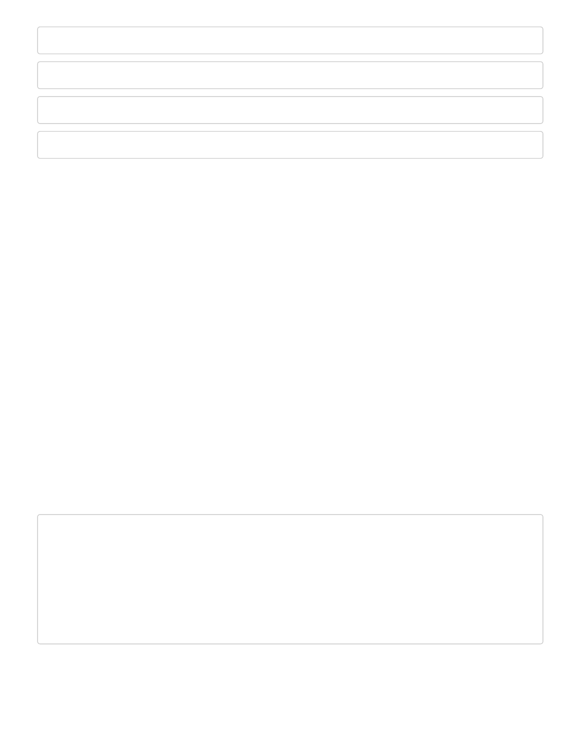$\Box$ 

\* VURN RIN VYRJLZ PNHRVU ^L^RSSVRH[\$L]LYHNLI`NHWORIN [OLOH] HSLZ ORNO \$L]LYHNLW RUZ VI [SRLYZ RU

JHZ ZKVII WICL SPLLHYP' HZ ZT WIRVU

ONUVARNK TT `HUK JHLNVARHS HAPH \$2 ^L UL] LYOL \$2 ZZ IL J\Y BRULHYL \$HRVLZ GOYZ PU MW\Y] HAPH \$2; OPZ

6LJQLI FRGHV

7HVW VWDW 3U !\_7HVW VWDW\_ HGX OHJRUBIU  $\sqrt{2}$ HOI SRS 7 X N H \ W H V W

UHVLGXDO3ORWV UHJ

: DUQLQJ SDFNDJH FDU'DWD ZDV EXLOW XQGHU 5 YHUVLRQ

/RDGLQJ UHTXLUHG SDFNDJH FDU'DWD

: DUQLQJ SDFNDJH FDU ZDV EXLOW XQGHU 5 YHUVLRQ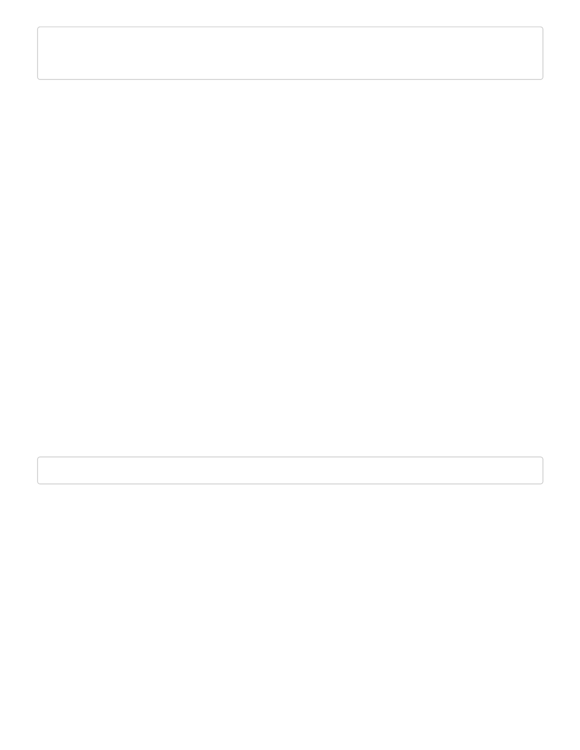SORW UHJ ZKLFROEOXH

5L [ ^ L ^ FSSL\_HT PUL \* WRZ KEZ HUL!

SORW KDWYDOXHV UHJK FVROHOXH\ODE+DW 9DOXFPVDLQ+DW YDOXHV  $S$  $\Omega$ DEOLQH K S Q OW\ 7KUHVKROG IRU VXVSHFWV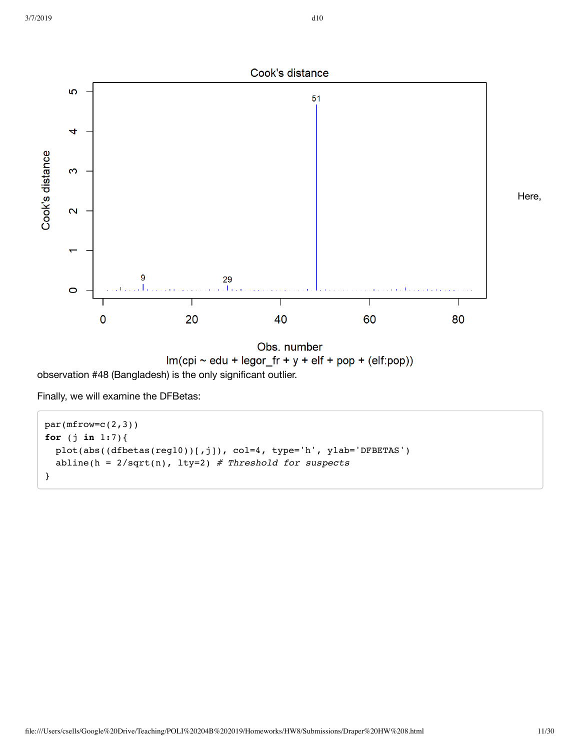

Obs. number  $Im(cpi \sim edu + legor.fr + y + elf + pop + (elf:pop))$ observation #48 (Bangladesh) is the only significant outlier.

Finally, we will examine the DFBetas:

```
par(mfrow=c(2,3))for (j in 1:7){
  plot(abs((dfbetas(reg10))[,j]), col=4, type='h', ylab='DFBETAS')
  abline(h = 2/sqrt(n), lty=2) # Threshold for suspects
}
```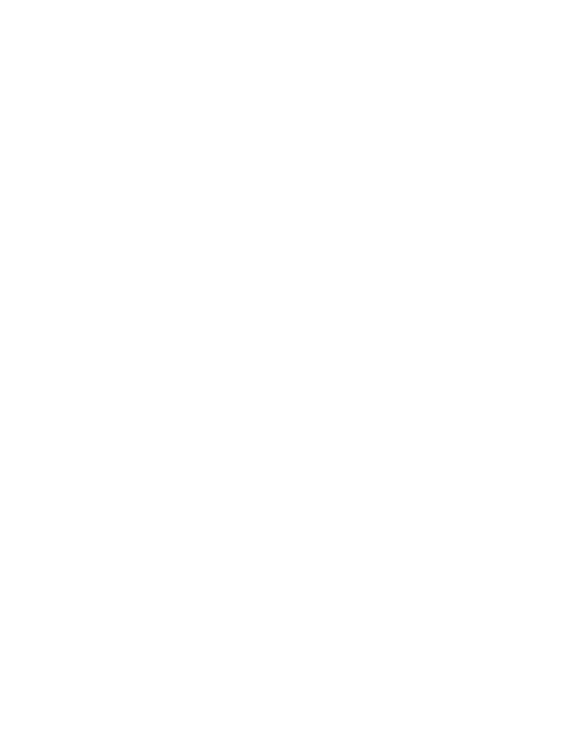# RKP, RN HSVIZ DJH, RVUZ JWZ ZIOL JVUJLYU [OYLZ OGK VUHSSJHYPH SLZ YLSH [PLS NU^ VMOLT KV HUK RUHKK PRVU

À OH 8VHUV FVHOOND\*RKRLJQDJH32/ULYH% +RPHZRUNV +: 6XEPLVVLRQV 'UDSHU +: KWPO

 $SO<sub>2</sub>$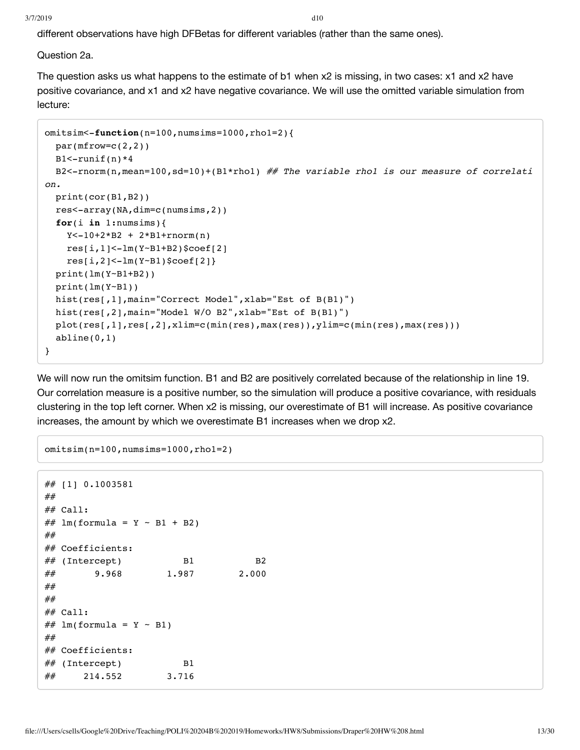3/7/2019 d10

different observations have high DFBetas for different variables (rather than the same ones).

Question 2a.

The question asks us what happens to the estimate of b1 when x2 is missing, in two cases: x1 and x2 have positive covariance, and x1 and x2 have negative covariance. We will use the omitted variable simulation from lecture:

```
omitsim<-function(n=100,numsims=1000,rho1=2){
  par(mfrow=c(2,2))B1 < - runif(n) *4 B2<-rnorm(n,mean=100,sd=10)+(B1*rho1) ## The variable rho1 is our measure of correlati
on.
   print(cor(B1,B2))
   res<-array(NA,dim=c(numsims,2))
   for(i in 1:numsims){
    Y<-10+2*B2 + 2*B1+rnorm(n) res[i,1]<-lm(Y~B1+B2)$coef[2]
     res[i,2]<-lm(Y~B1)$coef[2]}
   print(lm(Y~B1+B2))
   print(lm(Y~B1))
  hist(res[,1],main="Correct Model",xlab="Est of B(B1)")
  hist(res[,2],main="Model W/O B2",xlab="Est of B(B1)")
   plot(res[,1],res[,2],xlim=c(min(res),max(res)),ylim=c(min(res),max(res)))
   abline(0,1)
}
```
We will now run the omitsim function. B1 and B2 are positively correlated because of the relationship in line 19. Our correlation measure is a positive number, so the simulation will produce a positive covariance, with residuals clustering in the top left corner. When x2 is missing, our overestimate of B1 will increase. As positive covariance increases, the amount by which we overestimate B1 increases when we drop x2.

```
omitsim(n=100,numsims=1000,rho1=2)
```

```
## [1] 0.1003581
## 
## Call:
\# \# \ln (formula = Y ~ B1 + B2)
## 
## Coefficients:
## (Intercept) B1 B2 
## 9.968 1.987 2.000 
## 
## 
## Call:
\# \# lm(formula = Y ~ B1)
## 
## Coefficients:
## (Intercept) B1 
## 214.552 3.716
```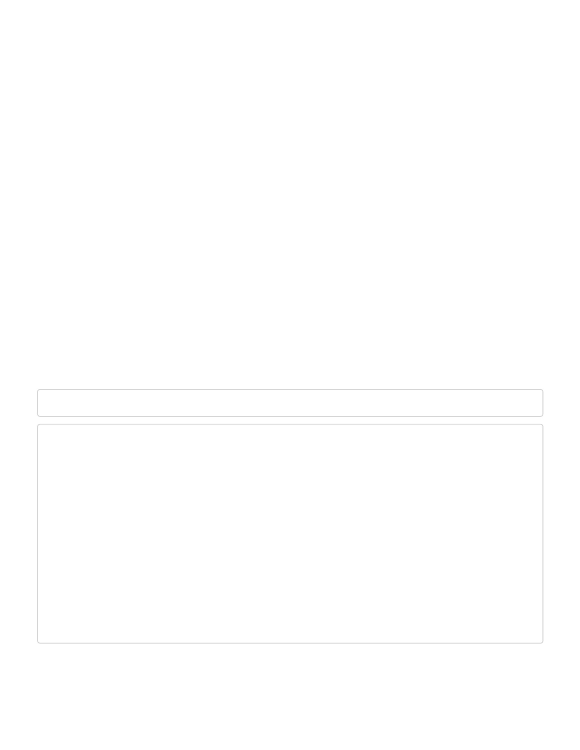$> ②$ **&DOO** OP IRUPXOD < a % % **&RHIILFLHQWV**  $\%$ , Q W H U F H S W  $\%$ **&DOO** OP IRUPXOD < a % & R H I I L F L H Q W V  $\%$ , Q W H U F H S W

RUYLHZ LICL THNUPAKL VMOV [CL NHWI L[^ LLU[CL TVKLSZ^RSSPUYLHZ LL

RPLWVLP QQXPVLPV UKR

**OMPL**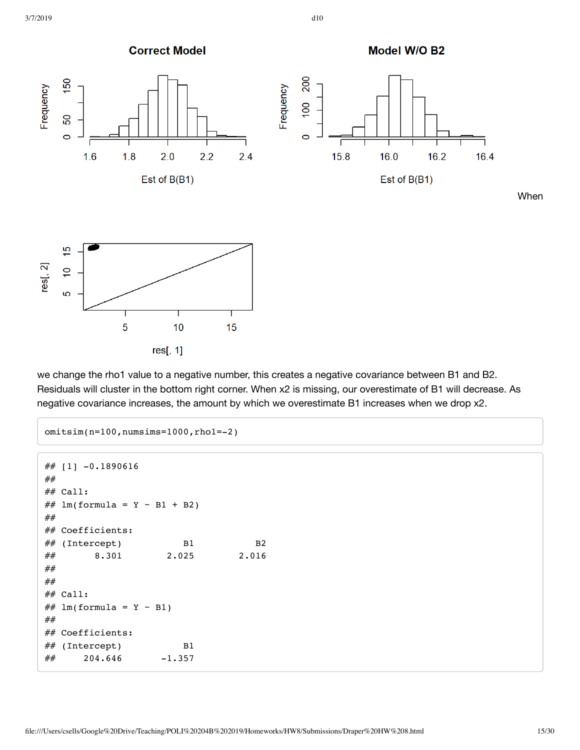

we change the rho1 value to a negative number, this creates a negative covariance between B1 and B2. Residuals will cluster in the bottom right corner. When x2 is missing, our overestimate of B1 will decrease. As negative covariance increases, the amount by which we overestimate B1 increases when we drop x2.

```
omitsim(n=100,numsims=1000,rho1=-2)
```

```
## [1] -0.1890616
## 
## Call:
\# \# lm(formula = Y ~ B1 + B2)
## 
## Coefficients:
## (Intercept) B1 B2 
## 8.301 2.025 2.016 
## 
## 
## Call:
\# \# lm(formula = Y ~ B1)
## 
## Coefficients:
## (Intercept) B1 
\# 204.646 -1.357
```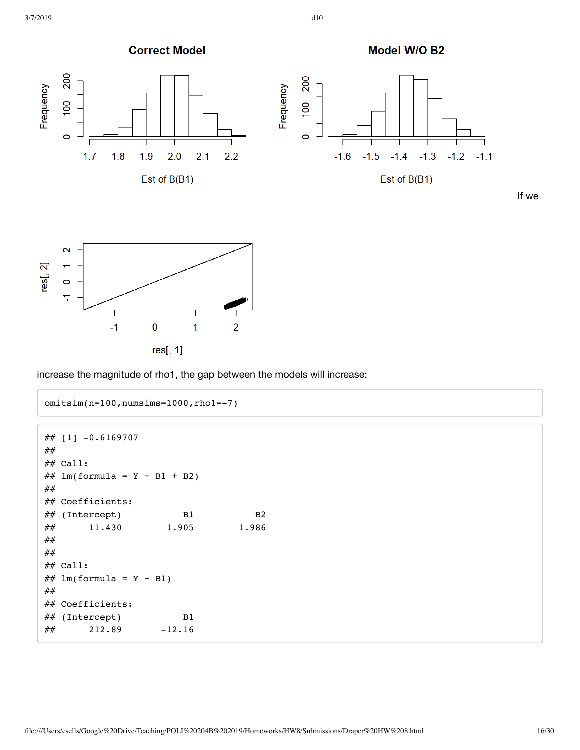**Correct Model** 



Est of B(B1)



Model W/O B2

If we



increase the magnitude of rho1, the gap between the models will increase:

```
omitsim(n=100,numsims=1000,rho1=-7)
```

```
## [1] -0.6169707
## 
## Call:
\# \# lm(formula = Y ~ B1 + B2)
## 
## Coefficients:
## (Intercept) B1 B2 
## 11.430 1.905 1.986 
## 
## 
## Call:
\# \# lm(formula = Y ~ B1)
## 
## Coefficients:
## (Intercept) B1 
\# 212.89 -12.16
```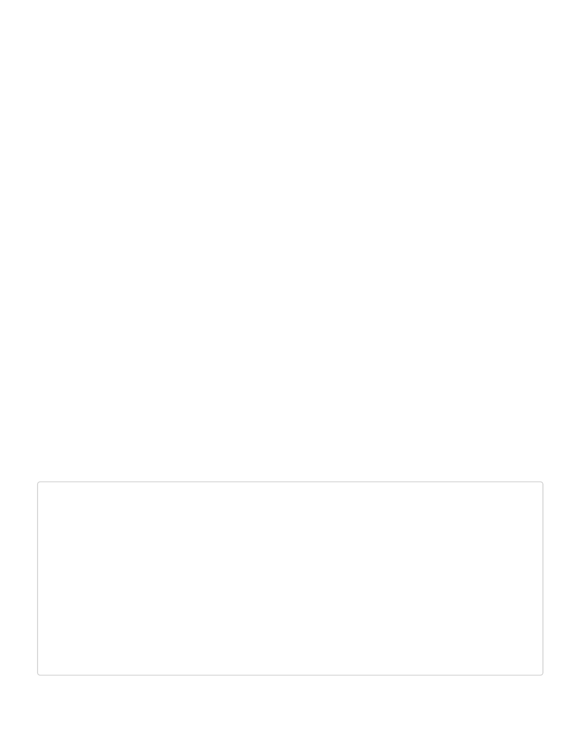UHJVLP

```
VHW VHHG
UHJVLPIXQFWLQQ QXPVLPV DOSKDEHWDVLJPDJDPPOOHUHJ^
 : UQRUP Q PHDQ
 UHV DUUIDINGLP F QXPVLPV
 IRUL LQ QXPVLPV ^
  <VWDU DOSKD EHWD ; UQRUP Q VG VHUHJ
  < < VWDU UQRUP Q VG
  UHV>L@ OP <VWDUa; FQRHI>
  UHV>L@ OP <a; FR@l>
 SORW UH@>UHV@ [ODE Z HUURU\ODE; VWDU Z R HUU ROUP F PLQ UHV
UHV \OLP F PLQ UHV PD[ UHV
```
- PIZ [^LL\_HT PUL [OLKH[H^P]OHUVYT HSSKEZ MP\[LKLYKVY[LYT ^P[OHZ HUKHYKKL] PH[PVUVM > L^RSNYHWO\_ ^POLYKYVU[OL\_H\_EZHNHRUZ[\_ZHY[Y\L]HSLVU[OL`H\_EZ>LL\_WLJ[[VZLKEZWYZWUHSVUN[OL\_H\_EZ

WINLULYHS^OLU\_ PZTLHZ\YLK^POYHUKVTLYYWY [OLLYYWZ^PSS[LUK [VÅH[[LU[OLZY8WLVM]OLYLNYLZZVBI\$PUL ; O ZEZ ILJH Z LIOL LYKY^RSILUK [V KEZ WYZ LIOL KHIH YLZ \\$PUN PU HIRNLY \$LZ ZWYLJEZ LJSA K (Z YHUKVT LYKYY RUYLHZ IZ ^ L [CLYLIWYL L\_WLJ[ [VZ IL I L[HCH] HWWWHJOaLYV

 $8\backslash$  LZ PVU I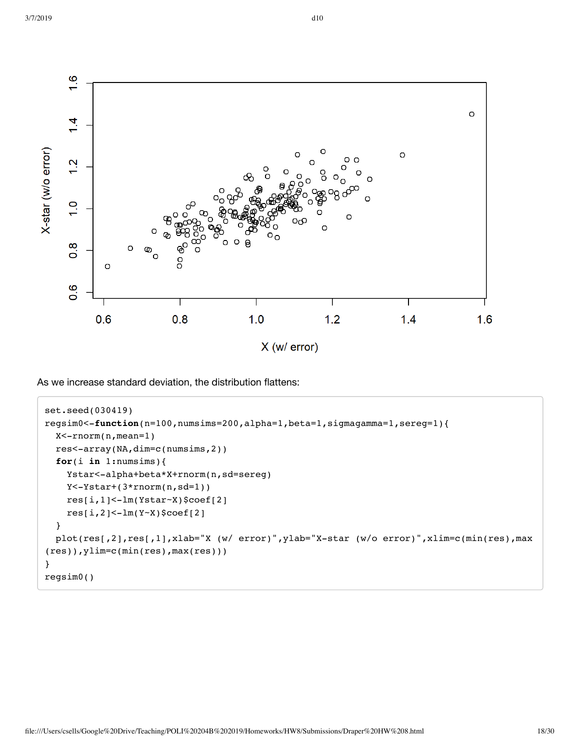

As we increase standard deviation, the distribution flattens:

```
set.seed(030419)
regsim0<-function(n=100,numsims=200,alpha=1,beta=1,sigmagamma=1,sereg=1){
  X<-rnorm(n,mean=1)
  res<-array(NA,dim=c(numsims,2))
  for(i in 1:numsims){
     Ystar<-alpha+beta*X+rnorm(n,sd=sereg)
    Y<-Ystar+(3*rnorm(n,sd=1))
    res[i,1]<-lm(Ystar~X)$coef[2]
   res[i,2]<-lm(Y~X)$coef[2]
   }
  plot(res[,2],res[,1],xlab="X (w/ error)",ylab="X-star (w/o error)",xlim=c(min(res),max
(res)),ylim=c(min(res),max(res)))
}
regsim0()
```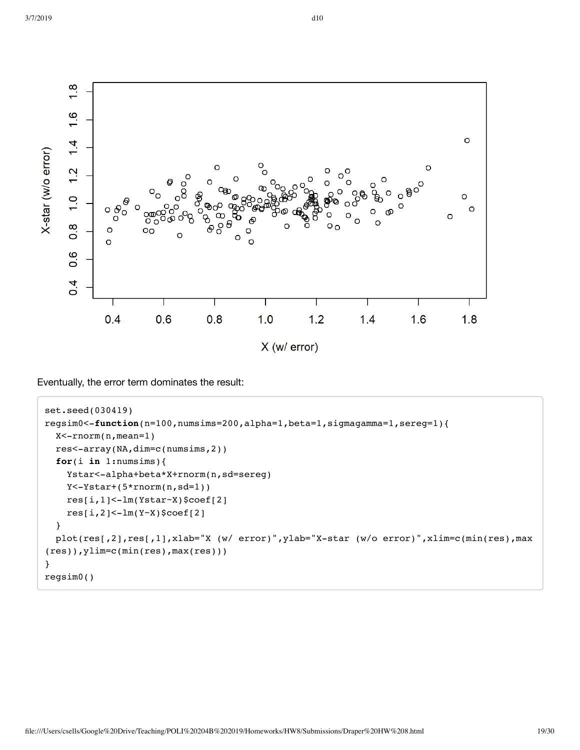

Eventually, the error term dominates the result:

```
set.seed(030419)
regsim0<-function(n=100,numsims=200,alpha=1,beta=1,sigmagamma=1,sereg=1){
  X<-rnorm(n,mean=1)
  res<-array(NA,dim=c(numsims,2))
  for(i in 1:numsims){
     Ystar<-alpha+beta*X+rnorm(n,sd=sereg)
    Y<-Ystar+(5*rnorm(n,sd=1))
    res[i,1]<-lm(Ystar~X)$coef[2]
   res[i,2]<-lm(Y~X)$coef[2]
   }
  plot(res[,2],res[,1],xlab="X (w/ error)",ylab="X-star (w/o error)",xlim=c(min(res),max
(res)),ylim=c(min(res),max(res)))
}
regsim0()
```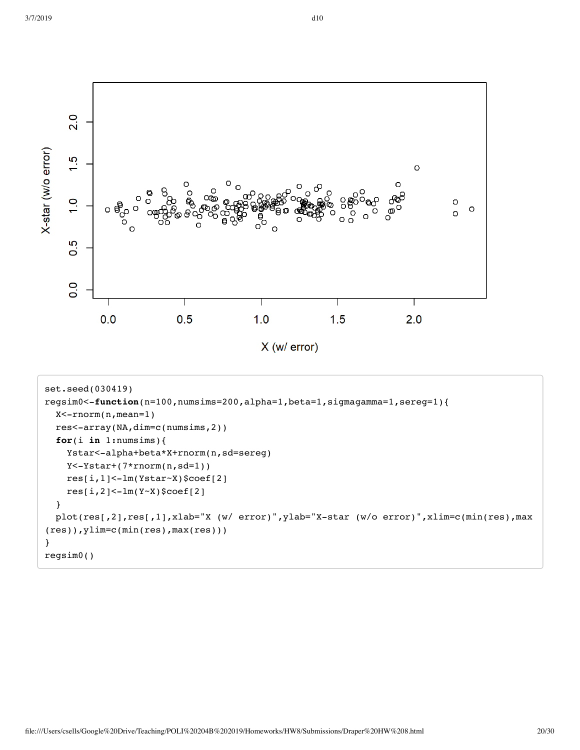

```
set.seed(030419)
regsim0<-function(n=100,numsims=200,alpha=1,beta=1,sigmagamma=1,sereg=1){
  X<-rnorm(n,mean=1)
  res<-array(NA,dim=c(numsims,2))
  for(i in 1:numsims){
    Ystar<-alpha+beta*X+rnorm(n,sd=sereg)
    Y<-Ystar+(7*rnorm(n,sd=1))
    res[i,1]<-lm(Ystar~X)$coef[2]
   res[i,2]<-lm(Y-X)$coef[2]
   }
  plot(res[,2],res[,1],xlab="X (w/ error)",ylab="X-star (w/o error)",xlim=c(min(res),max
(res)),ylim=c(min(res),max(res)))
}
regsim0()
```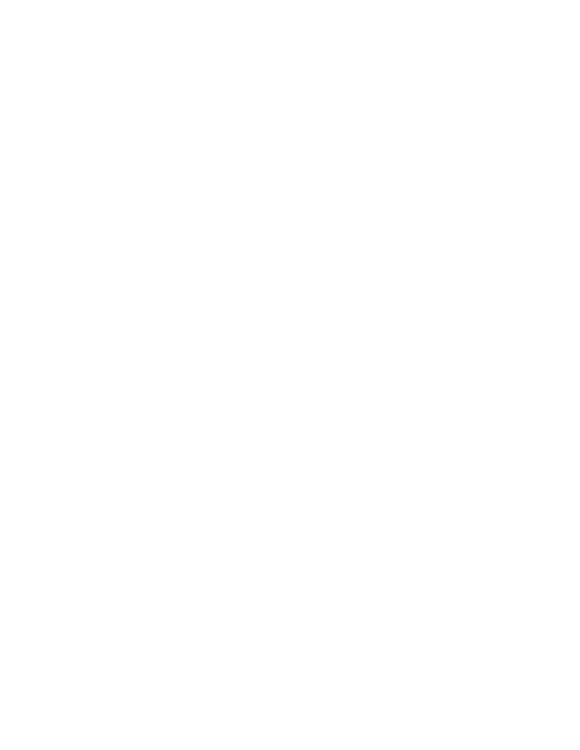$_{\text{S}}$  @ ? Z [HY JVLMBDdVMS [YLZ BDYLZ BD\_\$H \$  $_{\text{S}}$  ? ^ LYKV 1 ` SH \$  $_{\text{S}}$  ? Z [HY ^ V  $LWW'$  \_ ST \$J T PUYLZ T H\_YLZ ` ST \$J T PUYLZ T H\_YLZ H SPLL SPLLZ J I L[HI L[HJ T PUYLZ T H\_YLZ SPUZJTPUYLZ TH\_YLZ JIL[HIL[H dYLNZP

UTZPZ\$ HSNOH\$ IL[H\$ ZNRTHNHTTH\$ ZNLN\$ b?# YUVYTUTLHU\$ A#? YLNZP # MUJIPVUU\$ YUVYT UT LHUS YLZ#HYYH 5(KPT\$JU\TZPTZ NWYPPU !U\TZPTZb@#H\$WOHIL[H?YUVYTUZK\$ZNLN ?Z FM# ? YUVYTUZK\$ZIRTHNHTTH YLZBD# STA ? CUVLNBD? OH #YLZBDYLZBD# ST @ ? OH CUVLNBDYLZBD#

([ILT W] ! OF Z VJSVZ L [OL [WILLS BZ [OH[OJHL) AW YL VI[OV^ [V WWW. SH[L ? OH[^POPU[OL SWW]

**SELZJTEUYLZTH\_YLZJIL[HIL[H dYLNZP** 

 $_{\text{S}}$  @ ? Z H Y JVLMB DdVMS [YLZ BDYLZ BD\_ SH \$  $_{\text{S}}$  ? ^ LYKV  $^{\prime}$  ` SH \$  $_{\text{S}}$  ? Z H Y ^ V LYKY<sup>1</sup>\_ST \$J T PUYLZ T H\_YLZ ` ST \$J T PUYLZ T H\_YLZ H SPLL **SELZJIL [HIL [HJT PUYLZ TH\_YLZ** 

?Z[N#? YUVYTUZK\$ZNPTHNHTTHYLZBD#STA<sub>? CJVLN</sub>8D? OH#YLZBDYLZBD#ST@8? OH CJVLN8DYLZBD#

YLNZP # MUJ[PVUU\$ ULTZPZ\$ HSNOH\$ IL[H\$ ZNPTHNHTTH\$ ZNLN\$ b?#YUVYTUTLHU\$ A#? YUVYT UTLHU\$ YLZ#HYYH 5 (KFT\$JU\TZFTZ NWYPRU !U\TZFTZb@#H\$WOH IL[H?YUVYT UZK\$ZNLN

 $FF$  ([[LT W] !

YLNZP<sup>1</sup>

YLNZTP # MUU[PVUU\$ U\TZTPZ\$ HSWOH\$ IL[H\$ ZNRTHNHTTH\$ ZNLN\$ b?# Z Ľ Z LK YUVYT UT LHU\$ A# ? YUVYT UT LHU\$ ? OH{# ST Ae? WKLKR3[PVUZ# WKLKR3[? OH UL^KH{\$? OH ZLÄ (\$; 9<, PULY)HS\$, JVUÄKLUUL<sup>1</sup>SLJLS\$ YLZ#HYYH 5 (KFT \$JU\TZFT Z MYYPPU !U\TZFT Z bOZ[HY# HSYCH IL [H? CH @ # @ Z [HY YUVYT UZ K\$ YLZ B D# 3T @ Z [He? CJVLMBDYLZ B D# 3T @ ? CJVLMBDd WSY YLZ BDYLZ BD\_SH \$<sub>2</sub>? ^ LYKY<sup>1</sup> `SH \$<sub>2</sub>? Z [HY ^ V LYKY<sup>1</sup> \_ SH \$J T PUYLZ T H\_ YLZ `SH \$J T PUYLZ T H\_ YLZ d

 $>$  L ^ FSSUV^ JYLH [L H] HYPH SL A JVYYLSH [LK ^ FPO [OL [Y, L  $\_$  !]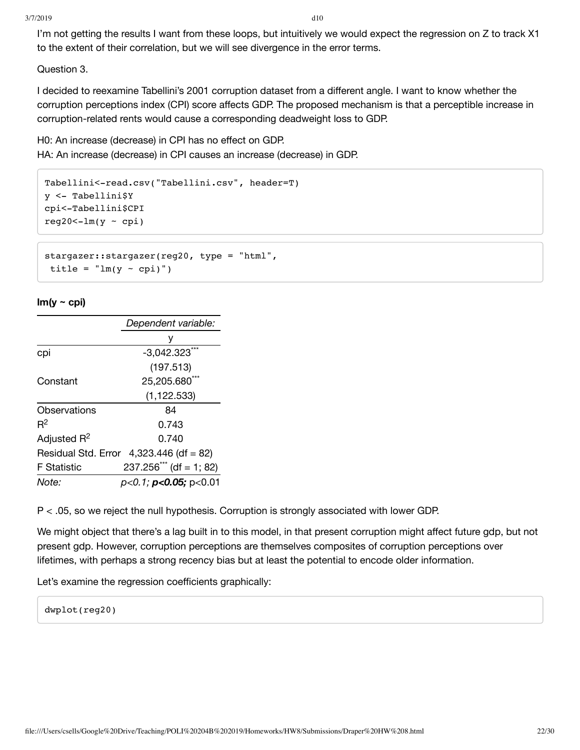3/7/2019 d10

I'm not getting the results I want from these loops, but intuitively we would expect the regression on Z to track X1 to the extent of their correlation, but we will see divergence in the error terms.

Question 3.

I decided to reexamine Tabellini's 2001 corruption dataset from a different angle. I want to know whether the corruption perceptions index (CPI) score affects GDP. The proposed mechanism is that a perceptible increase in corruption-related rents would cause a corresponding deadweight loss to GDP.

H0: An increase (decrease) in CPI has no effect on GDP. HA: An increase (decrease) in CPI causes an increase (decrease) in GDP.

```
Tabellini<-read.csv("Tabellini.csv", header=T)
y <- Tabellini$Y
cpi<-Tabellini$CPI
reg20<-lm(y ~ ~ ~ copi)
```

```
stargazer::stargazer(reg20, type = "html",
 title = \ln(y \sim \text{cpi})")
```
#### $Im(y \sim cpi)$

|                    | Dependent variable:                       |  |
|--------------------|-------------------------------------------|--|
|                    |                                           |  |
| cpi                | $-3,042.323$                              |  |
|                    | (197.513)                                 |  |
| Constant           | 25,205.680**                              |  |
|                    | (1, 122.533)                              |  |
| Observations       | 84                                        |  |
| $R^2$              | 0.743                                     |  |
| Adjusted $R^2$     | 0.740                                     |  |
|                    | Residual Std. Error $4,323.446$ (df = 82) |  |
| <b>F</b> Statistic | $237.256$ *** (df = 1; 82)                |  |
| Note:              | $p<0.1$ ; $p<0.05$ ; $p<0.01$             |  |

P < .05, so we reject the null hypothesis. Corruption is strongly associated with lower GDP.

We might object that there's a lag built in to this model, in that present corruption might affect future gdp, but not present gdp. However, corruption perceptions are themselves composites of corruption perceptions over lifetimes, with perhaps a strong recency bias but at least the potential to encode older information.

Let's examine the regression coefficients graphically:

dwplot(reg20)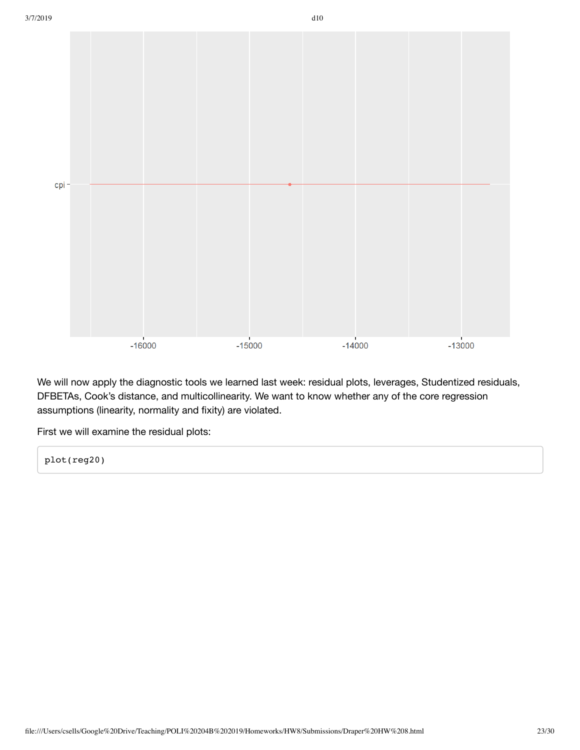

We will now apply the diagnostic tools we learned last week: residual plots, leverages, Studentized residuals, DFBETAs, Cook's distance, and multicollinearity. We want to know whether any of the core regression assumptions (linearity, normality and fixity) are violated.

First we will examine the residual plots:

plot(reg20)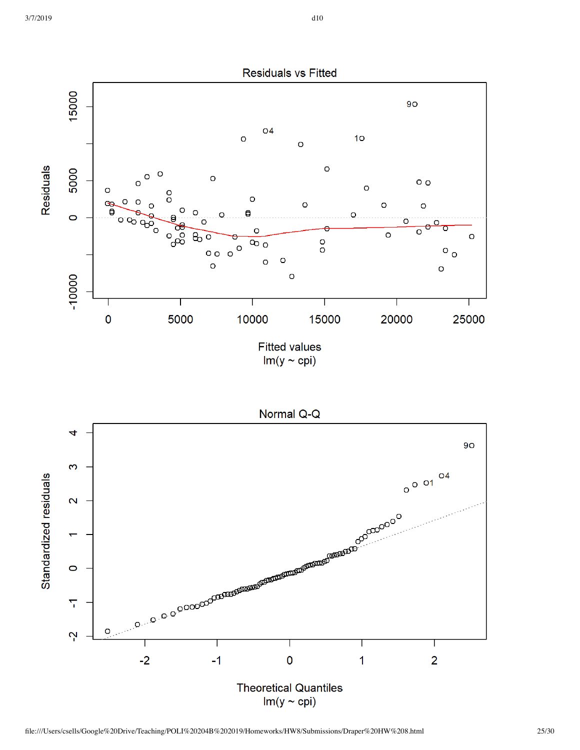

Normal Q-Q

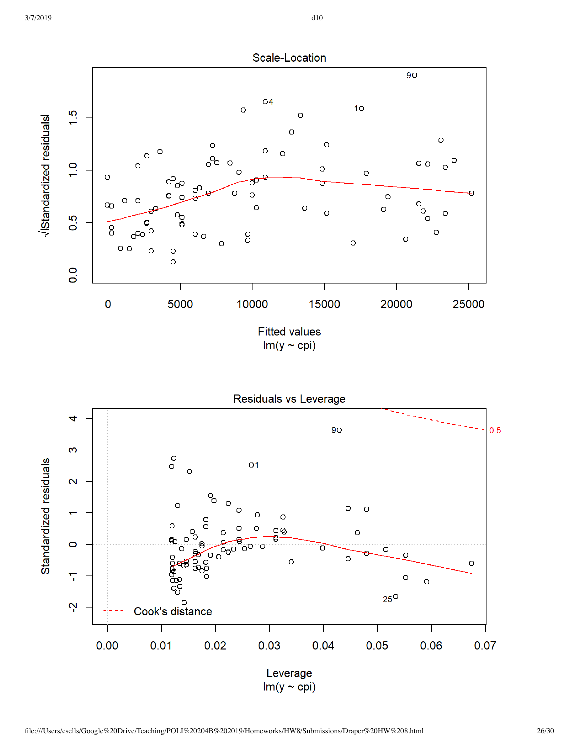

 $Im(y \sim cpi)$ 

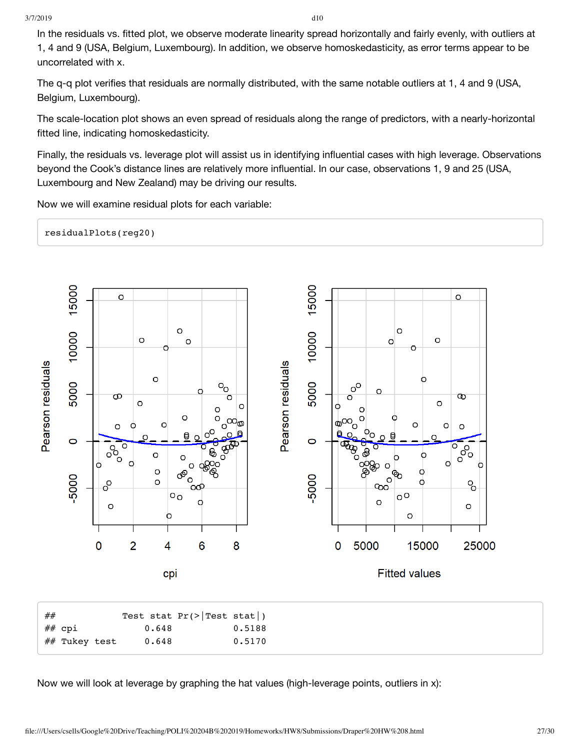3/7/2019 d10

In the residuals vs. fitted plot, we observe moderate linearity spread horizontally and fairly evenly, with outliers at 1, 4 and 9 (USA, Belgium, Luxembourg). In addition, we observe homoskedasticity, as error terms appear to be uncorrelated with x.

The q-q plot verifies that residuals are normally distributed, with the same notable outliers at 1, 4 and 9 (USA, Belgium, Luxembourg).

The scale-location plot shows an even spread of residuals along the range of predictors, with a nearly-horizontal fitted line, indicating homoskedasticity.

Finally, the residuals vs. leverage plot will assist us in identifying influential cases with high leverage. Observations beyond the Cook's distance lines are relatively more influential. In our case, observations 1, 9 and 25 (USA, Luxembourg and New Zealand) may be driving our results.

Now we will examine residual plots for each variable:

residualPlots(reg20)



Now we will look at leverage by graphing the hat values (high-leverage points, outliers in x):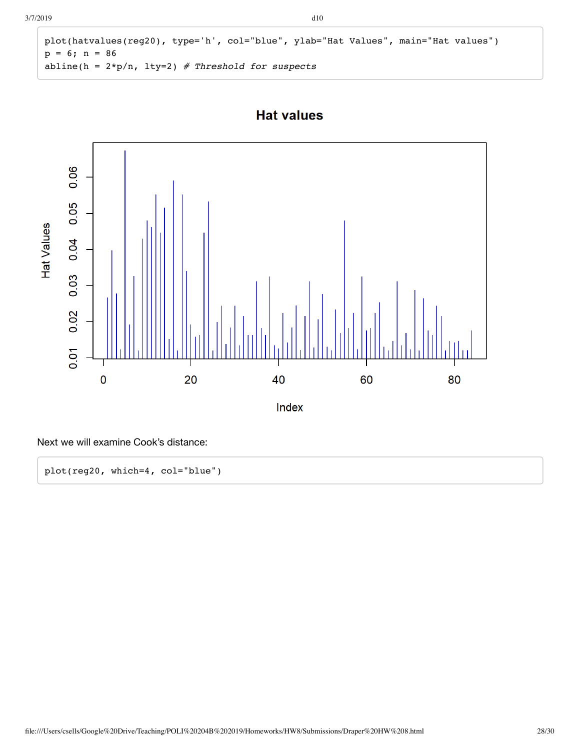```
plot(hatvalues(reg20), type='h', col="blue", ylab="Hat Values", main="Hat values")
p = 6; n = 86abline(h = 2*p/n, lty=2) # Threshold for suspects
```




Next we will examine Cook's distance:

plot(reg20, which=4, col="blue")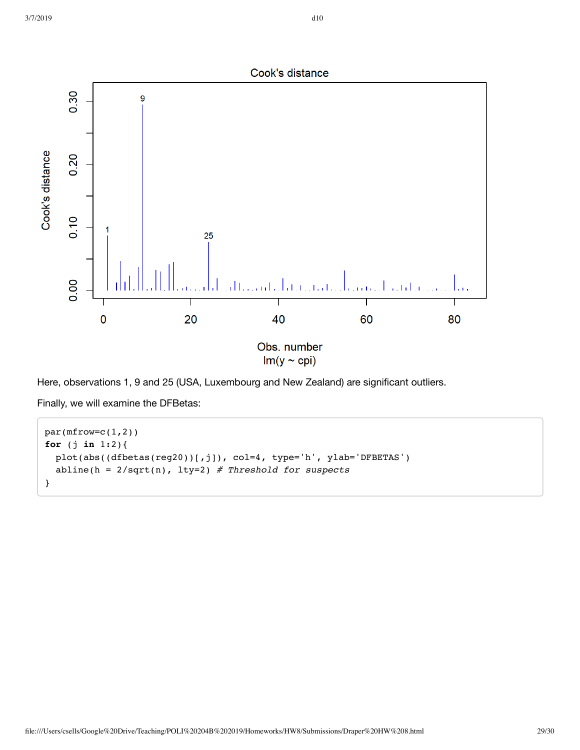#### Cook's distance



Here, observations 1, 9 and 25 (USA, Luxembourg and New Zealand) are significant outliers.

Finally, we will examine the DFBetas:

```
par( mfrow=c(1,2))
for (j in 1:2){
  plot(abs((dfbetas(reg20))[,j]), col=4, type='h', ylab='DFBETAS')
  abline(h = 2/sqrt(n), lty=2) # Threshold for suspects
}
```